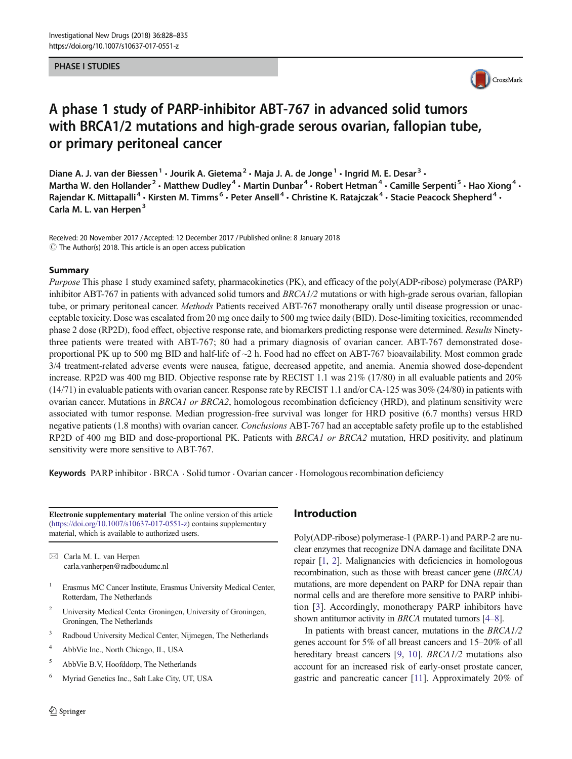#### PHASE I STUDIES



# A phase 1 study of PARP-inhibitor ABT-767 in advanced solid tumors with BRCA1/2 mutations and high-grade serous ovarian, fallopian tube, or primary peritoneal cancer

Diane A. J. van der Biessen<sup>1</sup> · Jourik A. Gietema<sup>2</sup> · Maja J. A. de Jonge<sup>1</sup> · Ingrid M. E. Desar<sup>3</sup> · Martha W. den Hollander<sup>2</sup> • Matthew Dudley<sup>4</sup> • Martin Dunbar<sup>4</sup> • Robert Hetman<sup>4</sup> • Camille Serpenti<sup>5</sup> • Hao Xiong<sup>4</sup> • Rajendar K. Mittapalli<sup>4</sup> • Kirsten M. Timms<sup>6</sup> • Peter Ansell<sup>4</sup> • Christine K. Ratajczak<sup>4</sup> • Stacie Peacock Shepherd<sup>4</sup> • Carla M. L. van Herpen<sup>3</sup>

Received: 20 November 2017 /Accepted: 12 December 2017 /Published online: 8 January 2018  $\odot$  The Author(s) 2018. This article is an open access publication

#### Summary

Purpose This phase 1 study examined safety, pharmacokinetics (PK), and efficacy of the poly(ADP-ribose) polymerase (PARP) inhibitor ABT-767 in patients with advanced solid tumors and BRCA1/2 mutations or with high-grade serous ovarian, fallopian tube, or primary peritoneal cancer. Methods Patients received ABT-767 monotherapy orally until disease progression or unacceptable toxicity. Dose was escalated from 20 mg once daily to 500 mg twice daily (BID). Dose-limiting toxicities, recommended phase 2 dose (RP2D), food effect, objective response rate, and biomarkers predicting response were determined. Results Ninetythree patients were treated with ABT-767; 80 had a primary diagnosis of ovarian cancer. ABT-767 demonstrated doseproportional PK up to 500 mg BID and half-life of ~2 h. Food had no effect on ABT-767 bioavailability. Most common grade 3/4 treatment-related adverse events were nausea, fatigue, decreased appetite, and anemia. Anemia showed dose-dependent increase. RP2D was 400 mg BID. Objective response rate by RECIST 1.1 was 21% (17/80) in all evaluable patients and 20% (14/71) in evaluable patients with ovarian cancer. Response rate by RECIST 1.1 and/or CA-125 was 30% (24/80) in patients with ovarian cancer. Mutations in BRCA1 or BRCA2, homologous recombination deficiency (HRD), and platinum sensitivity were associated with tumor response. Median progression-free survival was longer for HRD positive (6.7 months) versus HRD negative patients (1.8 months) with ovarian cancer. Conclusions ABT-767 had an acceptable safety profile up to the established RP2D of 400 mg BID and dose-proportional PK. Patients with BRCA1 or BRCA2 mutation, HRD positivity, and platinum sensitivity were more sensitive to ABT-767.

Keywords PARP inhibitor · BRCA · Solid tumor · Ovarian cancer · Homologous recombination deficiency

Electronic supplementary material The online version of this article ([https://doi.org/10.1007/s10637-017-0551-z\)](https://doi.org/10.1007/s10637-017-0551-z) contains supplementary material, which is available to authorized users.

 $\boxtimes$  Carla M. L. van Herpen [carla.vanherpen@radboudumc.nl](mailto:carla.vanherpen@radboudumc.nl)

- Erasmus MC Cancer Institute, Erasmus University Medical Center, Rotterdam, The Netherlands
- <sup>2</sup> University Medical Center Groningen, University of Groningen, Groningen, The Netherlands
- <sup>3</sup> Radboud University Medical Center, Nijmegen, The Netherlands
- <sup>4</sup> AbbVie Inc., North Chicago, IL, USA
- <sup>5</sup> AbbVie B.V, Hoofddorp, The Netherlands
- <sup>6</sup> Myriad Genetics Inc., Salt Lake City, UT, USA

# Introduction

Poly(ADP-ribose) polymerase-1 (PARP-1) and PARP-2 are nuclear enzymes that recognize DNA damage and facilitate DNA repair [\[1,](#page-6-0) [2\]](#page-6-0). Malignancies with deficiencies in homologous recombination, such as those with breast cancer gene (BRCA) mutations, are more dependent on PARP for DNA repair than normal cells and are therefore more sensitive to PARP inhibition [[3\]](#page-6-0). Accordingly, monotherapy PARP inhibitors have shown antitumor activity in BRCA mutated tumors [\[4](#page-6-0)–[8\]](#page-7-0).

In patients with breast cancer, mutations in the BRCA1/2 genes account for 5% of all breast cancers and 15–20% of all hereditary breast cancers [[9,](#page-7-0) [10\]](#page-7-0). *BRCA1/2* mutations also account for an increased risk of early-onset prostate cancer, gastric and pancreatic cancer [\[11\]](#page-7-0). Approximately 20% of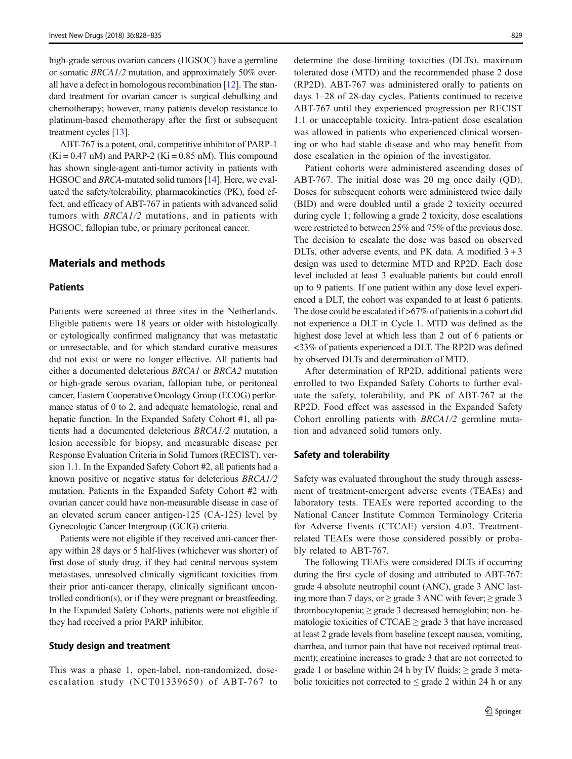high-grade serous ovarian cancers (HGSOC) have a germline or somatic BRCA1/2 mutation, and approximately 50% overall have a defect in homologous recombination [[12\]](#page-7-0). The standard treatment for ovarian cancer is surgical debulking and chemotherapy; however, many patients develop resistance to platinum-based chemotherapy after the first or subsequent treatment cycles [[13\]](#page-7-0).

ABT-767 is a potent, oral, competitive inhibitor of PARP-1  $(Ki = 0.47 \text{ nM})$  and PARP-2  $(Ki = 0.85 \text{ nM})$ . This compound has shown single-agent anti-tumor activity in patients with HGSOC and BRCA-mutated solid tumors [[14\]](#page-7-0). Here, we evaluated the safety/tolerability, pharmacokinetics (PK), food effect, and efficacy of ABT-767 in patients with advanced solid tumors with BRCA1/2 mutations, and in patients with HGSOC, fallopian tube, or primary peritoneal cancer.

# Materials and methods

## **Patients**

Patients were screened at three sites in the Netherlands. Eligible patients were 18 years or older with histologically or cytologically confirmed malignancy that was metastatic or unresectable, and for which standard curative measures did not exist or were no longer effective. All patients had either a documented deleterious BRCA1 or BRCA2 mutation or high-grade serous ovarian, fallopian tube, or peritoneal cancer, Eastern Cooperative Oncology Group (ECOG) performance status of 0 to 2, and adequate hematologic, renal and hepatic function. In the Expanded Safety Cohort #1, all patients had a documented deleterious BRCA1/2 mutation, a lesion accessible for biopsy, and measurable disease per Response Evaluation Criteria in Solid Tumors (RECIST), version 1.1. In the Expanded Safety Cohort #2, all patients had a known positive or negative status for deleterious BRCA1/2 mutation. Patients in the Expanded Safety Cohort #2 with ovarian cancer could have non-measurable disease in case of an elevated serum cancer antigen-125 (CA-125) level by Gynecologic Cancer Intergroup (GCIG) criteria.

Patients were not eligible if they received anti-cancer therapy within 28 days or 5 half-lives (whichever was shorter) of first dose of study drug, if they had central nervous system metastases, unresolved clinically significant toxicities from their prior anti-cancer therapy, clinically significant uncontrolled condition(s), or if they were pregnant or breastfeeding. In the Expanded Safety Cohorts, patients were not eligible if they had received a prior PARP inhibitor.

#### Study design and treatment

This was a phase 1, open-label, non-randomized, doseescalation study (NCT01339650) of ABT-767 to determine the dose-limiting toxicities (DLTs), maximum tolerated dose (MTD) and the recommended phase 2 dose (RP2D). ABT-767 was administered orally to patients on days 1–28 of 28-day cycles. Patients continued to receive ABT-767 until they experienced progression per RECIST 1.1 or unacceptable toxicity. Intra-patient dose escalation was allowed in patients who experienced clinical worsening or who had stable disease and who may benefit from dose escalation in the opinion of the investigator.

Patient cohorts were administered ascending doses of ABT-767. The initial dose was 20 mg once daily (QD). Doses for subsequent cohorts were administered twice daily (BID) and were doubled until a grade 2 toxicity occurred during cycle 1; following a grade 2 toxicity, dose escalations were restricted to between 25% and 75% of the previous dose. The decision to escalate the dose was based on observed DLTs, other adverse events, and PK data. A modified 3 + 3 design was used to determine MTD and RP2D. Each dose level included at least 3 evaluable patients but could enroll up to 9 patients. If one patient within any dose level experienced a DLT, the cohort was expanded to at least 6 patients. The dose could be escalated if >67% of patients in a cohort did not experience a DLT in Cycle 1. MTD was defined as the highest dose level at which less than 2 out of 6 patients or <33% of patients experienced a DLT. The RP2D was defined by observed DLTs and determination of MTD.

After determination of RP2D, additional patients were enrolled to two Expanded Safety Cohorts to further evaluate the safety, tolerability, and PK of ABT-767 at the RP2D. Food effect was assessed in the Expanded Safety Cohort enrolling patients with BRCA1/2 germline mutation and advanced solid tumors only.

### Safety and tolerability

Safety was evaluated throughout the study through assessment of treatment-emergent adverse events (TEAEs) and laboratory tests. TEAEs were reported according to the National Cancer Institute Common Terminology Criteria for Adverse Events (CTCAE) version 4.03. Treatmentrelated TEAEs were those considered possibly or probably related to ABT-767.

The following TEAEs were considered DLTs if occurring during the first cycle of dosing and attributed to ABT-767: grade 4 absolute neutrophil count (ANC), grade 3 ANC lasting more than 7 days, or  $\geq$  grade 3 ANC with fever;  $\geq$  grade 3 thrombocytopenia;  $\geq$  grade 3 decreased hemoglobin; non-hematologic toxicities of CTCAE  $\geq$  grade 3 that have increased at least 2 grade levels from baseline (except nausea, vomiting, diarrhea, and tumor pain that have not received optimal treatment); creatinine increases to grade 3 that are not corrected to grade 1 or baseline within 24 h by IV fluids;  $\geq$  grade 3 metabolic toxicities not corrected to  $\leq$  grade 2 within 24 h or any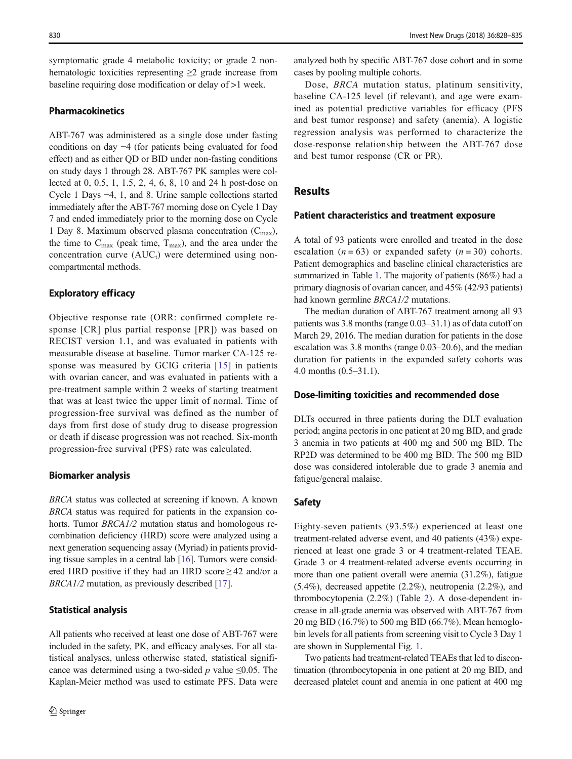symptomatic grade 4 metabolic toxicity; or grade 2 nonhematologic toxicities representing  $\geq 2$  grade increase from baseline requiring dose modification or delay of >1 week.

## **Pharmacokinetics**

ABT-767 was administered as a single dose under fasting conditions on day −4 (for patients being evaluated for food effect) and as either QD or BID under non-fasting conditions on study days 1 through 28. ABT-767 PK samples were collected at 0, 0.5, 1, 1.5, 2, 4, 6, 8, 10 and 24 h post-dose on Cycle 1 Days −4, 1, and 8. Urine sample collections started immediately after the ABT-767 morning dose on Cycle 1 Day 7 and ended immediately prior to the morning dose on Cycle 1 Day 8. Maximum observed plasma concentration  $(C_{\text{max}})$ , the time to  $C_{\text{max}}$  (peak time,  $T_{\text{max}}$ ), and the area under the concentration curve  $(AUC_t)$  were determined using noncompartmental methods.

## Exploratory efficacy

Objective response rate (ORR: confirmed complete response [CR] plus partial response [PR]) was based on RECIST version 1.1, and was evaluated in patients with measurable disease at baseline. Tumor marker CA-125 response was measured by GCIG criteria [[15](#page-7-0)] in patients with ovarian cancer, and was evaluated in patients with a pre-treatment sample within 2 weeks of starting treatment that was at least twice the upper limit of normal. Time of progression-free survival was defined as the number of days from first dose of study drug to disease progression or death if disease progression was not reached. Six-month progression-free survival (PFS) rate was calculated.

## Biomarker analysis

BRCA status was collected at screening if known. A known BRCA status was required for patients in the expansion cohorts. Tumor BRCA1/2 mutation status and homologous recombination deficiency (HRD) score were analyzed using a next generation sequencing assay (Myriad) in patients providing tissue samples in a central lab [\[16](#page-7-0)]. Tumors were considered HRD positive if they had an HRD score  $\geq$  42 and/or a BRCA1/2 mutation, as previously described [[17\]](#page-7-0).

## Statistical analysis

All patients who received at least one dose of ABT-767 were included in the safety, PK, and efficacy analyses. For all statistical analyses, unless otherwise stated, statistical significance was determined using a two-sided  $p$  value  $\leq 0.05$ . The Kaplan-Meier method was used to estimate PFS. Data were

analyzed both by specific ABT-767 dose cohort and in some cases by pooling multiple cohorts.

Dose, BRCA mutation status, platinum sensitivity, baseline CA-125 level (if relevant), and age were examined as potential predictive variables for efficacy (PFS and best tumor response) and safety (anemia). A logistic regression analysis was performed to characterize the dose-response relationship between the ABT-767 dose and best tumor response (CR or PR).

## **Results**

#### Patient characteristics and treatment exposure

A total of 93 patients were enrolled and treated in the dose escalation  $(n = 63)$  or expanded safety  $(n = 30)$  cohorts. Patient demographics and baseline clinical characteristics are summarized in Table [1](#page-3-0). The majority of patients (86%) had a primary diagnosis of ovarian cancer, and 45% (42/93 patients) had known germline BRCA1/2 mutations.

The median duration of ABT-767 treatment among all 93 patients was 3.8 months (range 0.03–31.1) as of data cutoff on March 29, 2016. The median duration for patients in the dose escalation was 3.8 months (range 0.03–20.6), and the median duration for patients in the expanded safety cohorts was 4.0 months (0.5–31.1).

#### Dose-limiting toxicities and recommended dose

DLTs occurred in three patients during the DLT evaluation period; angina pectoris in one patient at 20 mg BID, and grade 3 anemia in two patients at 400 mg and 500 mg BID. The RP2D was determined to be 400 mg BID. The 500 mg BID dose was considered intolerable due to grade 3 anemia and fatigue/general malaise.

#### Safety

Eighty-seven patients (93.5%) experienced at least one treatment-related adverse event, and 40 patients (43%) experienced at least one grade 3 or 4 treatment-related TEAE. Grade 3 or 4 treatment-related adverse events occurring in more than one patient overall were anemia (31.2%), fatigue (5.4%), decreased appetite (2.2%), neutropenia (2.2%), and thrombocytopenia (2.2%) (Table [2\)](#page-4-0). A dose-dependent increase in all-grade anemia was observed with ABT-767 from 20 mg BID (16.7%) to 500 mg BID (66.7%). Mean hemoglobin levels for all patients from screening visit to Cycle 3 Day 1 are shown in Supplemental Fig. [1.](#page-4-0)

Two patients had treatment-related TEAEs that led to discontinuation (thrombocytopenia in one patient at 20 mg BID, and decreased platelet count and anemia in one patient at 400 mg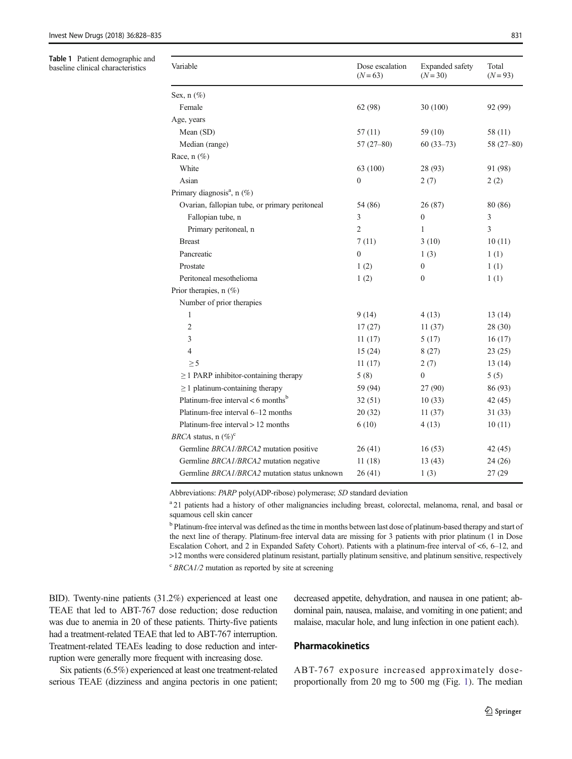<span id="page-3-0"></span>Table 1 Patient demographic and baseline clinical characteristics

| Variable                                         | Dose escalation<br>$(N=63)$ | Expanded safety<br>$(N = 30)$ | Total<br>$(N = 93)$ |
|--------------------------------------------------|-----------------------------|-------------------------------|---------------------|
| Sex, $n$ $(\%)$                                  |                             |                               |                     |
| Female                                           | 62 (98)                     | 30 (100)                      | 92 (99)             |
| Age, years                                       |                             |                               |                     |
| Mean (SD)                                        | 57(11)                      | 59 (10)                       | 58 (11)             |
| Median (range)                                   | $57(27 - 80)$               | $60(33-73)$                   | 58 (27-80)          |
| Race, $n$ (%)                                    |                             |                               |                     |
| White                                            | 63 (100)                    | 28 (93)                       | 91 (98)             |
| Asian                                            | $\boldsymbol{0}$            | 2(7)                          | 2(2)                |
| Primary diagnosis <sup>a</sup> , n (%)           |                             |                               |                     |
| Ovarian, fallopian tube, or primary peritoneal   | 54 (86)                     | 26 (87)                       | 80 (86)             |
| Fallopian tube, n                                | 3                           | $\mathbf{0}$                  | 3                   |
| Primary peritoneal, n                            | $\overline{c}$              | $\mathbf{1}$                  | 3                   |
| <b>Breast</b>                                    | 7(11)                       | 3(10)                         | 10(11)              |
| Pancreatic                                       | $\boldsymbol{0}$            | 1(3)                          | 1(1)                |
| Prostate                                         | 1(2)                        | $\boldsymbol{0}$              | 1(1)                |
| Peritoneal mesothelioma                          | 1(2)                        | $\boldsymbol{0}$              | 1(1)                |
| Prior therapies, n (%)                           |                             |                               |                     |
| Number of prior therapies                        |                             |                               |                     |
| $\mathbf{1}$                                     | 9(14)                       | 4(13)                         | 13 (14)             |
| $\overline{2}$                                   | 17(27)                      | 11(37)                        | 28 (30)             |
| 3                                                | 11(17)                      | 5(17)                         | 16(17)              |
| $\overline{4}$                                   | 15(24)                      | 8(27)                         | 23(25)              |
| $\geq$ 5                                         | 11(17)                      | 2(7)                          | 13(14)              |
| $\geq$ 1 PARP inhibitor-containing therapy       | 5(8)                        | $\boldsymbol{0}$              | 5(5)                |
| $\geq$ 1 platinum-containing therapy             | 59 (94)                     | 27 (90)                       | 86 (93)             |
| Platinum-free interval $< 6$ months <sup>b</sup> | 32(51)                      | 10(33)                        | 42 (45)             |
| Platinum-free interval 6-12 months               | 20(32)                      | 11(37)                        | 31(33)              |
| Platinum-free interval > 12 months               | 6(10)                       | 4(13)                         | 10(11)              |
| <i>BRCA</i> status, $n (\%)^c$                   |                             |                               |                     |
| Germline BRCA1/BRCA2 mutation positive           | 26(41)                      | 16(53)                        | 42 (45)             |
| Germline BRCA1/BRCA2 mutation negative           | 11(18)                      | 13(43)                        | 24(26)              |
| Germline BRCA1/BRCA2 mutation status unknown     | 26(41)                      | 1(3)                          | 27 (29)             |

Abbreviations: PARP poly(ADP-ribose) polymerase; SD standard deviation

<sup>a</sup> 21 patients had a history of other malignancies including breast, colorectal, melanoma, renal, and basal or squamous cell skin cancer

<sup>b</sup> Platinum-free interval was defined as the time in months between last dose of platinum-based therapy and start of the next line of therapy. Platinum-free interval data are missing for 3 patients with prior platinum (1 in Dose Escalation Cohort, and 2 in Expanded Safety Cohort). Patients with a platinum-free interval of <6, 6–12, and >12 months were considered platinum resistant, partially platinum sensitive, and platinum sensitive, respectively  $C$ BRCA1/2 mutation as reported by site at screening

BID). Twenty-nine patients (31.2%) experienced at least one TEAE that led to ABT-767 dose reduction; dose reduction was due to anemia in 20 of these patients. Thirty-five patients had a treatment-related TEAE that led to ABT-767 interruption. Treatment-related TEAEs leading to dose reduction and interruption were generally more frequent with increasing dose.

Six patients (6.5%) experienced at least one treatment-related serious TEAE (dizziness and angina pectoris in one patient; decreased appetite, dehydration, and nausea in one patient; abdominal pain, nausea, malaise, and vomiting in one patient; and malaise, macular hole, and lung infection in one patient each).

## Pharmacokinetics

ABT-767 exposure increased approximately doseproportionally from 20 mg to 500 mg (Fig. [1](#page-4-0)). The median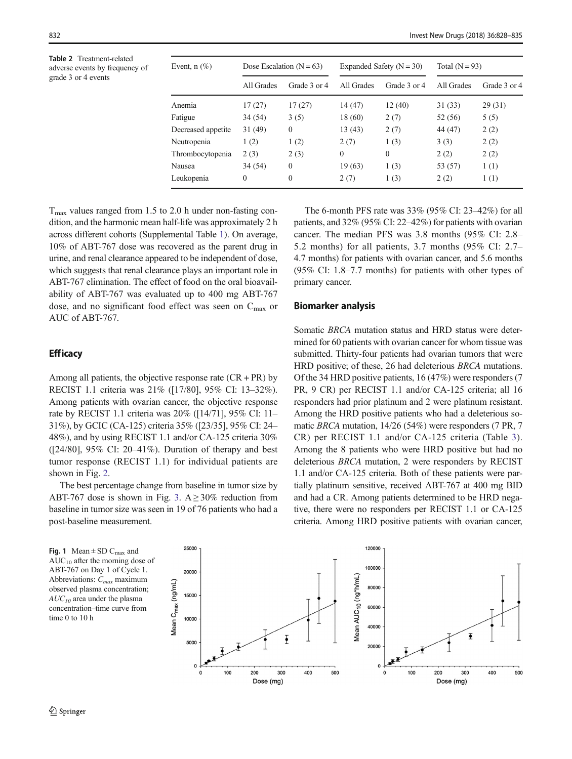<span id="page-4-0"></span>Table 2 Treatment-related adverse events by frequency of grade 3 or 4 events

| Event, $n$ $(\%)$  | Dose Escalation $(N = 63)$ |              | Expanded Safety $(N = 30)$ |              | Total $(N = 93)$ |              |
|--------------------|----------------------------|--------------|----------------------------|--------------|------------------|--------------|
|                    | All Grades                 | Grade 3 or 4 | All Grades                 | Grade 3 or 4 | All Grades       | Grade 3 or 4 |
| Anemia             | 17(27)                     | 17(27)       | 14(47)                     | 12(40)       | 31(33)           | 29(31)       |
| Fatigue            | 34 (54)                    | 3(5)         | 18 (60)                    | 2(7)         | 52 (56)          | 5(5)         |
| Decreased appetite | 31(49)                     | $\mathbf{0}$ | 13(43)                     | 2(7)         | 44 (47)          | 2(2)         |
| Neutropenia        | 1(2)                       | 1(2)         | 2(7)                       | 1(3)         | 3(3)             | 2(2)         |
| Thrombocytopenia   | 2(3)                       | 2(3)         | $\mathbf{0}$               | $\mathbf{0}$ | 2(2)             | 2(2)         |
| Nausea             | 34 (54)                    | $\mathbf{0}$ | 19(63)                     | 1(3)         | 53 (57)          | 1(1)         |
| Leukopenia         | $\Omega$                   | $\mathbf{0}$ | 2(7)                       | 1(3)         | 2(2)             | 1(1)         |
|                    |                            |              |                            |              |                  |              |

 $T<sub>max</sub>$  values ranged from 1.5 to 2.0 h under non-fasting condition, and the harmonic mean half-life was approximately 2 h across different cohorts (Supplemental Table [1](#page-3-0)). On average, 10% of ABT-767 dose was recovered as the parent drug in urine, and renal clearance appeared to be independent of dose, which suggests that renal clearance plays an important role in ABT-767 elimination. The effect of food on the oral bioavailability of ABT-767 was evaluated up to 400 mg ABT-767 dose, and no significant food effect was seen on  $C_{\text{max}}$  or AUC of ABT-767.

## **Efficacy**

Among all patients, the objective response rate  $(CR + PR)$  by RECIST 1.1 criteria was 21% ([17/80], 95% CI: 13–32%). Among patients with ovarian cancer, the objective response rate by RECIST 1.1 criteria was 20% ([14/71], 95% CI: 11– 31%), by GCIC (CA-125) criteria 35% ([23/35], 95% CI: 24– 48%), and by using RECIST 1.1 and/or CA-125 criteria 30%  $(24/80]$ , 95% CI: 20–41%). Duration of therapy and best tumor response (RECIST 1.1) for individual patients are shown in Fig. [2](#page-5-0).

The best percentage change from baseline in tumor size by ABT-767 dose is shown in Fig. [3](#page-5-0). A  $\geq$  30% reduction from baseline in tumor size was seen in 19 of 76 patients who had a post-baseline measurement.

The 6-month PFS rate was 33% (95% CI: 23–42%) for all patients, and 32% (95% CI: 22–42%) for patients with ovarian cancer. The median PFS was 3.8 months (95% CI: 2.8– 5.2 months) for all patients, 3.7 months (95% CI: 2.7– 4.7 months) for patients with ovarian cancer, and 5.6 months (95% CI: 1.8–7.7 months) for patients with other types of primary cancer.

## Biomarker analysis

Somatic BRCA mutation status and HRD status were determined for 60 patients with ovarian cancer for whom tissue was submitted. Thirty-four patients had ovarian tumors that were HRD positive; of these, 26 had deleterious BRCA mutations. Of the 34 HRD positive patients, 16 (47%) were responders (7 PR, 9 CR) per RECIST 1.1 and/or CA-125 criteria; all 16 responders had prior platinum and 2 were platinum resistant. Among the HRD positive patients who had a deleterious somatic BRCA mutation, 14/26 (54%) were responders (7 PR, 7 CR) per RECIST 1.1 and/or CA-125 criteria (Table [3](#page-6-0)). Among the 8 patients who were HRD positive but had no deleterious BRCA mutation, 2 were responders by RECIST 1.1 and/or CA-125 criteria. Both of these patients were partially platinum sensitive, received ABT-767 at 400 mg BID and had a CR. Among patients determined to be HRD negative, there were no responders per RECIST 1.1 or CA-125 criteria. Among HRD positive patients with ovarian cancer,



time 0 to 10 h

Fig. 1 Mean  $\pm$  SD C<sub>max</sub> and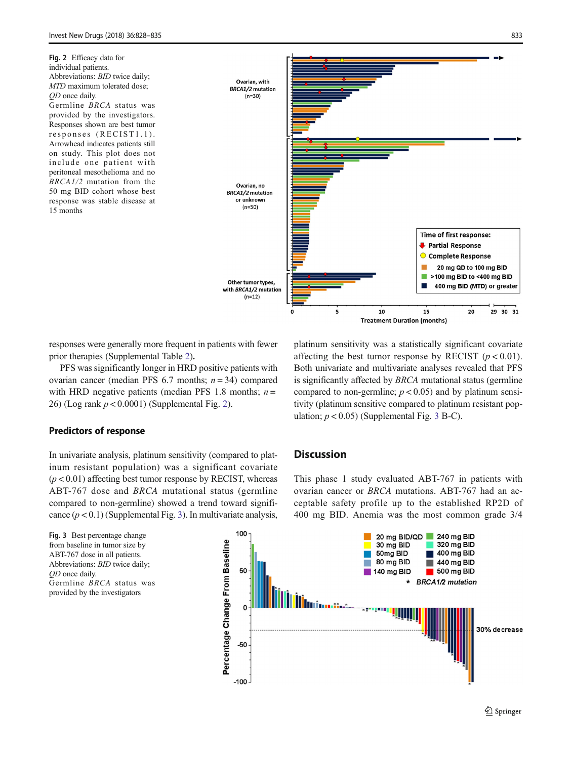<span id="page-5-0"></span>

responses were generally more frequent in patients with fewer prior therapies (Supplemental Table [2\)](#page-4-0).

PFS was significantly longer in HRD positive patients with ovarian cancer (median PFS  $6.7$  months;  $n = 34$ ) compared with HRD negative patients (median PFS 1.8 months;  $n =$ 26) (Log rank  $p < 0.0001$ ) (Supplemental Fig. 2).

## Predictors of response

In univariate analysis, platinum sensitivity (compared to platinum resistant population) was a significant covariate  $(p < 0.01)$  affecting best tumor response by RECIST, whereas ABT-767 dose and BRCA mutational status (germline compared to non-germline) showed a trend toward significance  $(p < 0.1)$  (Supplemental Fig. 3). In multivariate analysis,

Fig. 3 Best percentage change from baseline in tumor size by ABT-767 dose in all patients. Abbreviations: BID twice daily; QD once daily. Germline BRCA status was provided by the investigators

platinum sensitivity was a statistically significant covariate affecting the best tumor response by RECIST  $(p < 0.01)$ . Both univariate and multivariate analyses revealed that PFS is significantly affected by BRCA mutational status (germline compared to non-germline;  $p < 0.05$ ) and by platinum sensitivity (platinum sensitive compared to platinum resistant population;  $p < 0.05$ ) (Supplemental Fig. 3 B-C).

# **Discussion**

This phase 1 study evaluated ABT-767 in patients with ovarian cancer or BRCA mutations. ABT-767 had an acceptable safety profile up to the established RP2D of 400 mg BID. Anemia was the most common grade 3/4

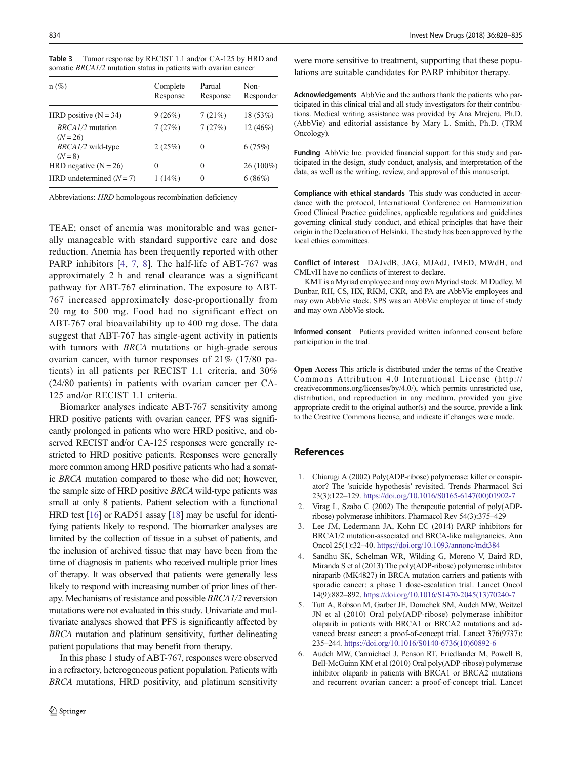<span id="page-6-0"></span>Table 3 Tumor response by RECIST 1.1 and/or CA-125 by HRD and somatic BRCA1/2 mutation status in patients with ovarian cancer

| $n(\%)$                        | Complete<br>Response | Partial<br>Response | Non-<br>Responder |
|--------------------------------|----------------------|---------------------|-------------------|
| HRD positive $(N = 34)$        | 9(26%)               | 7(21%)              | 18 (53%)          |
| BRCA1/2 mutation<br>$(N=26)$   | 7(27%)               | 7(27%)              | $12(46\%)$        |
| $BRCA1/2$ wild-type<br>$(N=8)$ | 2(25%)               | $\theta$            | 6(75%)            |
| HRD negative $(N = 26)$        | 0                    | 0                   | 26 (100%)         |
| HRD undetermined $(N = 7)$     | 1(14%)               | $\theta$            | 6(86%)            |

Abbreviations: HRD homologous recombination deficiency

TEAE; onset of anemia was monitorable and was generally manageable with standard supportive care and dose reduction. Anemia has been frequently reported with other PARP inhibitors [4, [7](#page-7-0), [8\]](#page-7-0). The half-life of ABT-767 was approximately 2 h and renal clearance was a significant pathway for ABT-767 elimination. The exposure to ABT-767 increased approximately dose-proportionally from 20 mg to 500 mg. Food had no significant effect on ABT-767 oral bioavailability up to 400 mg dose. The data suggest that ABT-767 has single-agent activity in patients with tumors with BRCA mutations or high-grade serous ovarian cancer, with tumor responses of 21% (17/80 patients) in all patients per RECIST 1.1 criteria, and 30% (24/80 patients) in patients with ovarian cancer per CA-125 and/or RECIST 1.1 criteria.

Biomarker analyses indicate ABT-767 sensitivity among HRD positive patients with ovarian cancer. PFS was significantly prolonged in patients who were HRD positive, and observed RECIST and/or CA-125 responses were generally restricted to HRD positive patients. Responses were generally more common among HRD positive patients who had a somatic BRCA mutation compared to those who did not; however, the sample size of HRD positive BRCA wild-type patients was small at only 8 patients. Patient selection with a functional HRD test [\[16\]](#page-7-0) or RAD51 assay [\[18](#page-7-0)] may be useful for identifying patients likely to respond. The biomarker analyses are limited by the collection of tissue in a subset of patients, and the inclusion of archived tissue that may have been from the time of diagnosis in patients who received multiple prior lines of therapy. It was observed that patients were generally less likely to respond with increasing number of prior lines of therapy. Mechanisms of resistance and possible BRCA1/2 reversion mutations were not evaluated in this study. Univariate and multivariate analyses showed that PFS is significantly affected by BRCA mutation and platinum sensitivity, further delineating patient populations that may benefit from therapy.

In this phase 1 study of ABT-767, responses were observed in a refractory, heterogeneous patient population. Patients with BRCA mutations, HRD positivity, and platinum sensitivity

were more sensitive to treatment, supporting that these populations are suitable candidates for PARP inhibitor therapy.

Acknowledgements AbbVie and the authors thank the patients who participated in this clinical trial and all study investigators for their contributions. Medical writing assistance was provided by Ana Mrejeru, Ph.D. (AbbVie) and editorial assistance by Mary L. Smith, Ph.D. (TRM Oncology).

Funding AbbVie Inc. provided financial support for this study and participated in the design, study conduct, analysis, and interpretation of the data, as well as the writing, review, and approval of this manuscript.

Compliance with ethical standards This study was conducted in accordance with the protocol, International Conference on Harmonization Good Clinical Practice guidelines, applicable regulations and guidelines governing clinical study conduct, and ethical principles that have their origin in the Declaration of Helsinki. The study has been approved by the local ethics committees.

Conflict of interest DAJvdB, JAG, MJAdJ, IMED, MWdH, and CMLvH have no conflicts of interest to declare.

KMT is a Myriad employee and may own Myriad stock. M Dudley, M Dunbar, RH, CS, HX, RKM, CKR, and PA are AbbVie employees and may own AbbVie stock. SPS was an AbbVie employee at time of study and may own AbbVie stock.

Informed consent Patients provided written informed consent before participation in the trial.

Open Access This article is distributed under the terms of the Creative Commons Attribution 4.0 International License (http:// creativecommons.org/licenses/by/4.0/), which permits unrestricted use, distribution, and reproduction in any medium, provided you give appropriate credit to the original author(s) and the source, provide a link to the Creative Commons license, and indicate if changes were made.

## References

- 1. Chiarugi A (2002) Poly(ADP-ribose) polymerase: killer or conspirator? The 'suicide hypothesis' revisited. Trends Pharmacol Sci 23(3):122–129. [https://doi.org/10.1016/S0165-6147\(00\)01902-7](https://doi.org/10.1016/S0165-6147(00)01902-7)
- 2. Virag L, Szabo C (2002) The therapeutic potential of poly(ADPribose) polymerase inhibitors. Pharmacol Rev 54(3):375–429
- 3. Lee JM, Ledermann JA, Kohn EC (2014) PARP inhibitors for BRCA1/2 mutation-associated and BRCA-like malignancies. Ann Oncol 25(1):32–40. <https://doi.org/10.1093/annonc/mdt384>
- 4. Sandhu SK, Schelman WR, Wilding G, Moreno V, Baird RD, Miranda S et al (2013) The poly(ADP-ribose) polymerase inhibitor niraparib (MK4827) in BRCA mutation carriers and patients with sporadic cancer: a phase 1 dose-escalation trial. Lancet Oncol 14(9):882–892. [https://doi.org/10.1016/S1470-2045\(13\)70240-7](https://doi.org/10.1016/S1470-2045(13)70240-7)
- 5. Tutt A, Robson M, Garber JE, Domchek SM, Audeh MW, Weitzel JN et al (2010) Oral poly(ADP-ribose) polymerase inhibitor olaparib in patients with BRCA1 or BRCA2 mutations and advanced breast cancer: a proof-of-concept trial. Lancet 376(9737): 235–244. [https://doi.org/10.1016/S0140-6736\(10\)60892-6](https://doi.org/10.1016/S0140-6736(10)60892-6)
- 6. Audeh MW, Carmichael J, Penson RT, Friedlander M, Powell B, Bell-McGuinn KM et al (2010) Oral poly(ADP-ribose) polymerase inhibitor olaparib in patients with BRCA1 or BRCA2 mutations and recurrent ovarian cancer: a proof-of-concept trial. Lancet